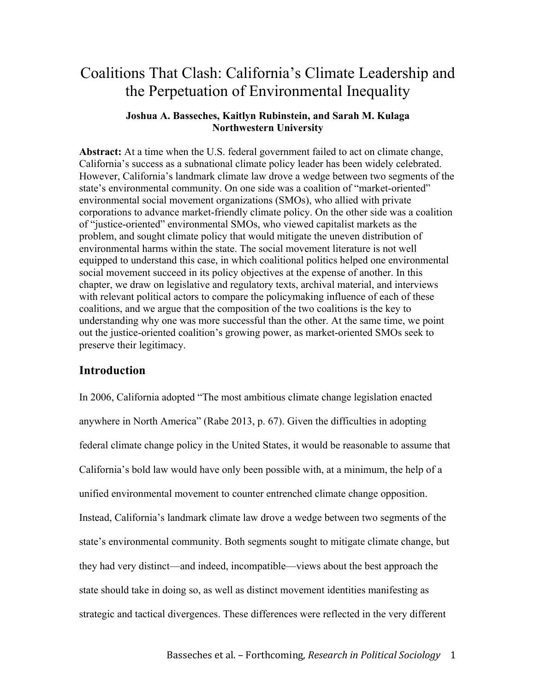# Coalitions That Clash: California's Climate Leadership and the Perpetuation of Environmental Inequality

## **Joshua A. Basseches, Kaitlyn Rubinstein, and Sarah M. Kulaga Northwestern University**

**Abstract:** At a time when the U.S. federal government failed to act on climate change, California's success as a subnational climate policy leader has been widely celebrated. However, California's landmark climate law drove a wedge between two segments of the state's environmental community. On one side was a coalition of "market-oriented" environmental social movement organizations (SMOs), who allied with private corporations to advance market-friendly climate policy. On the other side was a coalition of "justice-oriented" environmental SMOs, who viewed capitalist markets as the problem, and sought climate policy that would mitigate the uneven distribution of environmental harms within the state. The social movement literature is not well equipped to understand this case, in which coalitional politics helped one environmental social movement succeed in its policy objectives at the expense of another. In this chapter, we draw on legislative and regulatory texts, archival material, and interviews with relevant political actors to compare the policymaking influence of each of these coalitions, and we argue that the composition of the two coalitions is the key to understanding why one was more successful than the other. At the same time, we point out the justice-oriented coalition's growing power, as market-oriented SMOs seek to preserve their legitimacy.

## **Introduction**

In 2006, California adopted "The most ambitious climate change legislation enacted anywhere in North America" (Rabe 2013, p. 67). Given the difficulties in adopting federal climate change policy in the United States, it would be reasonable to assume that California's bold law would have only been possible with, at a minimum, the help of a unified environmental movement to counter entrenched climate change opposition. Instead, California's landmark climate law drove a wedge between two segments of the state's environmental community. Both segments sought to mitigate climate change, but they had very distinct—and indeed, incompatible—views about the best approach the state should take in doing so, as well as distinct movement identities manifesting as strategic and tactical divergences. These differences were reflected in the very different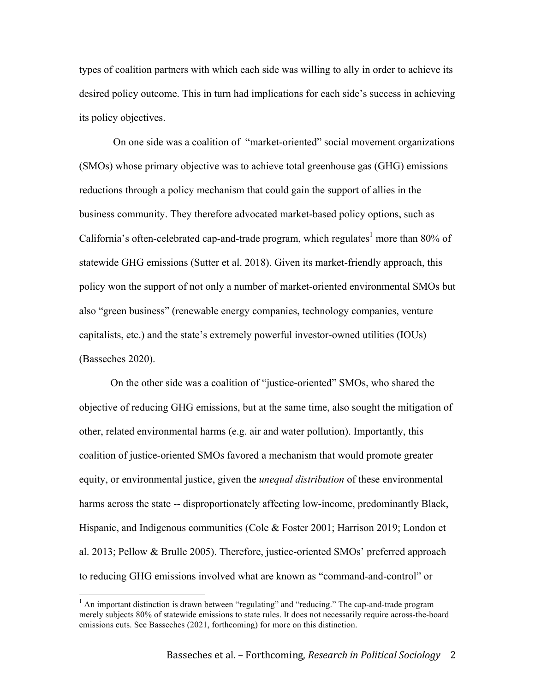types of coalition partners with which each side was willing to ally in order to achieve its desired policy outcome. This in turn had implications for each side's success in achieving its policy objectives.

On one side was a coalition of "market-oriented" social movement organizations (SMOs) whose primary objective was to achieve total greenhouse gas (GHG) emissions reductions through a policy mechanism that could gain the support of allies in the business community. They therefore advocated market-based policy options, such as California's often-celebrated cap-and-trade program, which regulates<sup>1</sup> more than 80% of statewide GHG emissions (Sutter et al. 2018). Given its market-friendly approach, this policy won the support of not only a number of market-oriented environmental SMOs but also "green business" (renewable energy companies, technology companies, venture capitalists, etc.) and the state's extremely powerful investor-owned utilities (IOUs) (Basseches 2020).

On the other side was a coalition of "justice-oriented" SMOs, who shared the objective of reducing GHG emissions, but at the same time, also sought the mitigation of other, related environmental harms (e.g. air and water pollution). Importantly, this coalition of justice-oriented SMOs favored a mechanism that would promote greater equity, or environmental justice, given the *unequal distribution* of these environmental harms across the state -- disproportionately affecting low-income, predominantly Black, Hispanic, and Indigenous communities (Cole & Foster 2001; Harrison 2019; London et al. 2013; Pellow & Brulle 2005). Therefore, justice-oriented SMOs' preferred approach to reducing GHG emissions involved what are known as "command-and-control" or

 $<sup>1</sup>$  An important distinction is drawn between "regulating" and "reducing." The cap-and-trade program</sup> merely subjects 80% of statewide emissions to state rules. It does not necessarily require across-the-board emissions cuts. See Basseches (2021, forthcoming) for more on this distinction.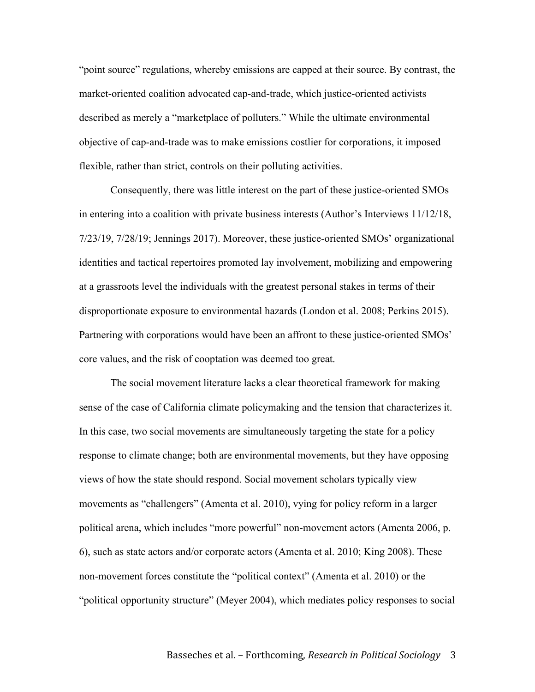"point source" regulations, whereby emissions are capped at their source. By contrast, the market-oriented coalition advocated cap-and-trade, which justice-oriented activists described as merely a "marketplace of polluters." While the ultimate environmental objective of cap-and-trade was to make emissions costlier for corporations, it imposed flexible, rather than strict, controls on their polluting activities.

Consequently, there was little interest on the part of these justice-oriented SMOs in entering into a coalition with private business interests (Author's Interviews 11/12/18, 7/23/19, 7/28/19; Jennings 2017). Moreover, these justice-oriented SMOs' organizational identities and tactical repertoires promoted lay involvement, mobilizing and empowering at a grassroots level the individuals with the greatest personal stakes in terms of their disproportionate exposure to environmental hazards (London et al. 2008; Perkins 2015). Partnering with corporations would have been an affront to these justice-oriented SMOs' core values, and the risk of cooptation was deemed too great.

The social movement literature lacks a clear theoretical framework for making sense of the case of California climate policymaking and the tension that characterizes it. In this case, two social movements are simultaneously targeting the state for a policy response to climate change; both are environmental movements, but they have opposing views of how the state should respond. Social movement scholars typically view movements as "challengers" (Amenta et al. 2010), vying for policy reform in a larger political arena, which includes "more powerful" non-movement actors (Amenta 2006, p. 6), such as state actors and/or corporate actors (Amenta et al. 2010; King 2008). These non-movement forces constitute the "political context" (Amenta et al. 2010) or the "political opportunity structure" (Meyer 2004), which mediates policy responses to social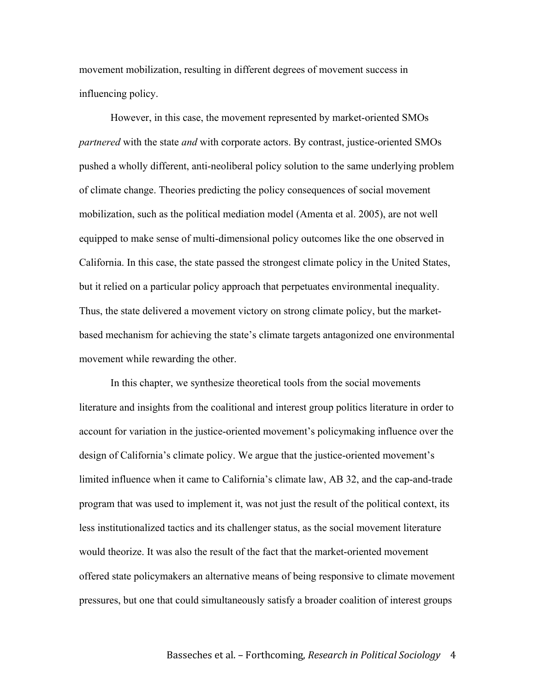movement mobilization, resulting in different degrees of movement success in influencing policy.

However, in this case, the movement represented by market-oriented SMOs *partnered* with the state *and* with corporate actors. By contrast, justice-oriented SMOs pushed a wholly different, anti-neoliberal policy solution to the same underlying problem of climate change. Theories predicting the policy consequences of social movement mobilization, such as the political mediation model (Amenta et al. 2005), are not well equipped to make sense of multi-dimensional policy outcomes like the one observed in California. In this case, the state passed the strongest climate policy in the United States, but it relied on a particular policy approach that perpetuates environmental inequality. Thus, the state delivered a movement victory on strong climate policy, but the marketbased mechanism for achieving the state's climate targets antagonized one environmental movement while rewarding the other.

In this chapter, we synthesize theoretical tools from the social movements literature and insights from the coalitional and interest group politics literature in order to account for variation in the justice-oriented movement's policymaking influence over the design of California's climate policy. We argue that the justice-oriented movement's limited influence when it came to California's climate law, AB 32, and the cap-and-trade program that was used to implement it, was not just the result of the political context, its less institutionalized tactics and its challenger status, as the social movement literature would theorize. It was also the result of the fact that the market-oriented movement offered state policymakers an alternative means of being responsive to climate movement pressures, but one that could simultaneously satisfy a broader coalition of interest groups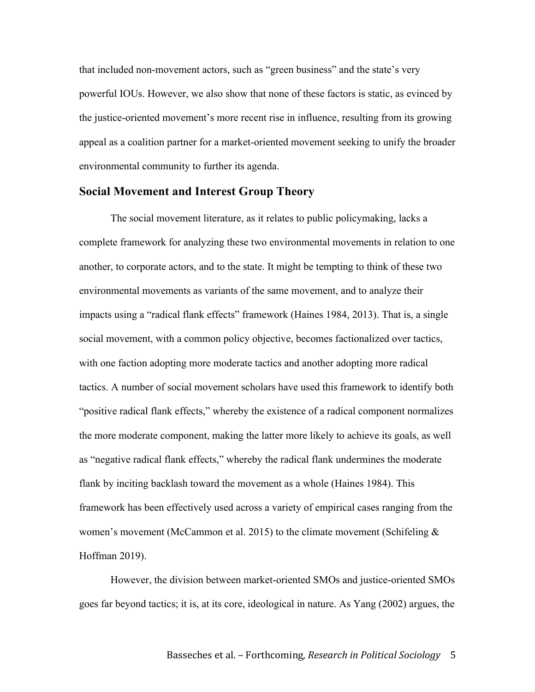that included non-movement actors, such as "green business" and the state's very powerful IOUs. However, we also show that none of these factors is static, as evinced by the justice-oriented movement's more recent rise in influence, resulting from its growing appeal as a coalition partner for a market-oriented movement seeking to unify the broader environmental community to further its agenda.

## **Social Movement and Interest Group Theory**

The social movement literature, as it relates to public policymaking, lacks a complete framework for analyzing these two environmental movements in relation to one another, to corporate actors, and to the state. It might be tempting to think of these two environmental movements as variants of the same movement, and to analyze their impacts using a "radical flank effects" framework (Haines 1984, 2013). That is, a single social movement, with a common policy objective, becomes factionalized over tactics, with one faction adopting more moderate tactics and another adopting more radical tactics. A number of social movement scholars have used this framework to identify both "positive radical flank effects," whereby the existence of a radical component normalizes the more moderate component, making the latter more likely to achieve its goals, as well as "negative radical flank effects," whereby the radical flank undermines the moderate flank by inciting backlash toward the movement as a whole (Haines 1984). This framework has been effectively used across a variety of empirical cases ranging from the women's movement (McCammon et al. 2015) to the climate movement (Schifeling  $\&$ Hoffman 2019).

However, the division between market-oriented SMOs and justice-oriented SMOs goes far beyond tactics; it is, at its core, ideological in nature. As Yang (2002) argues, the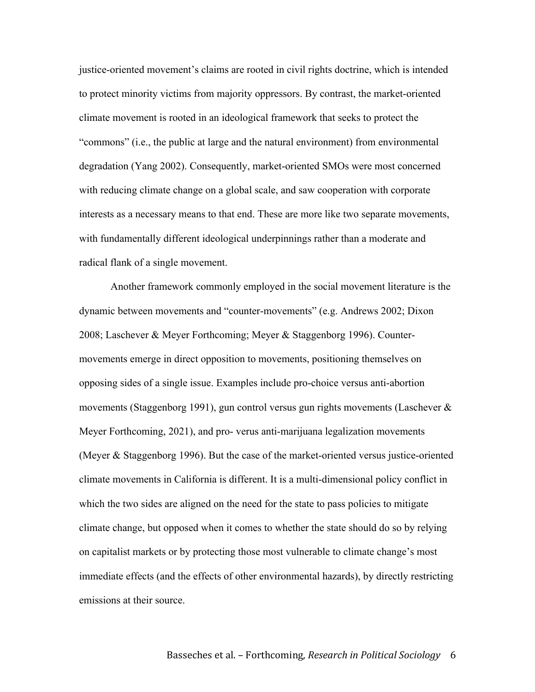justice-oriented movement's claims are rooted in civil rights doctrine, which is intended to protect minority victims from majority oppressors. By contrast, the market-oriented climate movement is rooted in an ideological framework that seeks to protect the "commons" (i.e., the public at large and the natural environment) from environmental degradation (Yang 2002). Consequently, market-oriented SMOs were most concerned with reducing climate change on a global scale, and saw cooperation with corporate interests as a necessary means to that end. These are more like two separate movements, with fundamentally different ideological underpinnings rather than a moderate and radical flank of a single movement.

Another framework commonly employed in the social movement literature is the dynamic between movements and "counter-movements" (e.g. Andrews 2002; Dixon 2008; Laschever & Meyer Forthcoming; Meyer & Staggenborg 1996). Countermovements emerge in direct opposition to movements, positioning themselves on opposing sides of a single issue. Examples include pro-choice versus anti-abortion movements (Staggenborg 1991), gun control versus gun rights movements (Laschever & Meyer Forthcoming, 2021), and pro- verus anti-marijuana legalization movements (Meyer & Staggenborg 1996). But the case of the market-oriented versus justice-oriented climate movements in California is different. It is a multi-dimensional policy conflict in which the two sides are aligned on the need for the state to pass policies to mitigate climate change, but opposed when it comes to whether the state should do so by relying on capitalist markets or by protecting those most vulnerable to climate change's most immediate effects (and the effects of other environmental hazards), by directly restricting emissions at their source.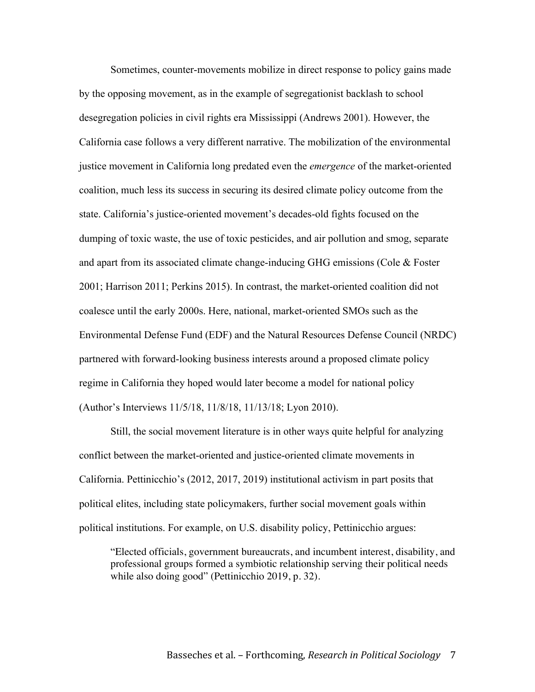Sometimes, counter-movements mobilize in direct response to policy gains made by the opposing movement, as in the example of segregationist backlash to school desegregation policies in civil rights era Mississippi (Andrews 2001). However, the California case follows a very different narrative. The mobilization of the environmental justice movement in California long predated even the *emergence* of the market-oriented coalition, much less its success in securing its desired climate policy outcome from the state. California's justice-oriented movement's decades-old fights focused on the dumping of toxic waste, the use of toxic pesticides, and air pollution and smog, separate and apart from its associated climate change-inducing GHG emissions (Cole & Foster 2001; Harrison 2011; Perkins 2015). In contrast, the market-oriented coalition did not coalesce until the early 2000s. Here, national, market-oriented SMOs such as the Environmental Defense Fund (EDF) and the Natural Resources Defense Council (NRDC) partnered with forward-looking business interests around a proposed climate policy regime in California they hoped would later become a model for national policy (Author's Interviews 11/5/18, 11/8/18, 11/13/18; Lyon 2010).

Still, the social movement literature is in other ways quite helpful for analyzing conflict between the market-oriented and justice-oriented climate movements in California. Pettinicchio's (2012, 2017, 2019) institutional activism in part posits that political elites, including state policymakers, further social movement goals within political institutions. For example, on U.S. disability policy, Pettinicchio argues:

"Elected officials, government bureaucrats, and incumbent interest, disability, and professional groups formed a symbiotic relationship serving their political needs while also doing good" (Pettinicchio 2019, p. 32).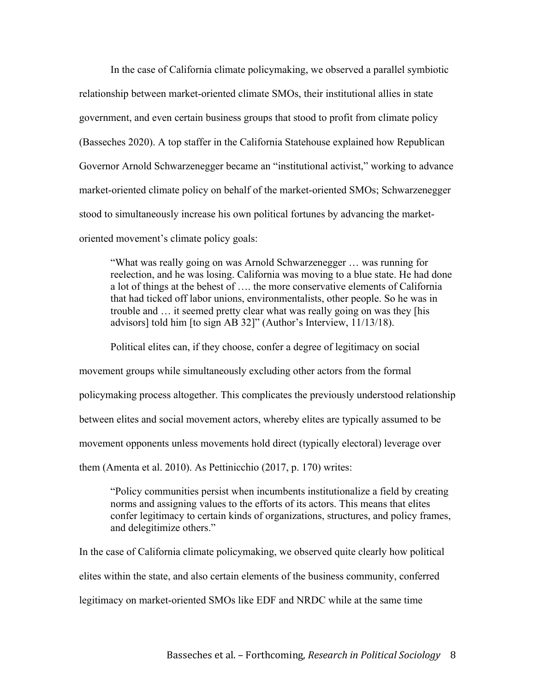In the case of California climate policymaking, we observed a parallel symbiotic relationship between market-oriented climate SMOs, their institutional allies in state government, and even certain business groups that stood to profit from climate policy (Basseches 2020). A top staffer in the California Statehouse explained how Republican Governor Arnold Schwarzenegger became an "institutional activist," working to advance market-oriented climate policy on behalf of the market-oriented SMOs; Schwarzenegger stood to simultaneously increase his own political fortunes by advancing the marketoriented movement's climate policy goals:

"What was really going on was Arnold Schwarzenegger … was running for reelection, and he was losing. California was moving to a blue state. He had done a lot of things at the behest of …. the more conservative elements of California that had ticked off labor unions, environmentalists, other people. So he was in trouble and … it seemed pretty clear what was really going on was they [his advisors] told him [to sign AB 32]" (Author's Interview, 11/13/18).

Political elites can, if they choose, confer a degree of legitimacy on social movement groups while simultaneously excluding other actors from the formal policymaking process altogether. This complicates the previously understood relationship between elites and social movement actors, whereby elites are typically assumed to be movement opponents unless movements hold direct (typically electoral) leverage over them (Amenta et al. 2010). As Pettinicchio (2017, p. 170) writes:

"Policy communities persist when incumbents institutionalize a field by creating norms and assigning values to the efforts of its actors. This means that elites confer legitimacy to certain kinds of organizations, structures, and policy frames, and delegitimize others."

In the case of California climate policymaking, we observed quite clearly how political elites within the state, and also certain elements of the business community, conferred legitimacy on market-oriented SMOs like EDF and NRDC while at the same time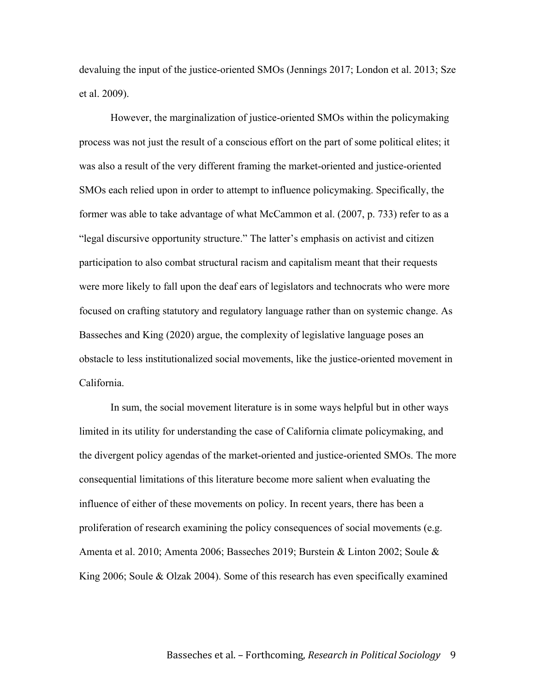devaluing the input of the justice-oriented SMOs (Jennings 2017; London et al. 2013; Sze et al. 2009).

However, the marginalization of justice-oriented SMOs within the policymaking process was not just the result of a conscious effort on the part of some political elites; it was also a result of the very different framing the market-oriented and justice-oriented SMOs each relied upon in order to attempt to influence policymaking. Specifically, the former was able to take advantage of what McCammon et al. (2007, p. 733) refer to as a "legal discursive opportunity structure." The latter's emphasis on activist and citizen participation to also combat structural racism and capitalism meant that their requests were more likely to fall upon the deaf ears of legislators and technocrats who were more focused on crafting statutory and regulatory language rather than on systemic change. As Basseches and King (2020) argue, the complexity of legislative language poses an obstacle to less institutionalized social movements, like the justice-oriented movement in California.

In sum, the social movement literature is in some ways helpful but in other ways limited in its utility for understanding the case of California climate policymaking, and the divergent policy agendas of the market-oriented and justice-oriented SMOs. The more consequential limitations of this literature become more salient when evaluating the influence of either of these movements on policy. In recent years, there has been a proliferation of research examining the policy consequences of social movements (e.g. Amenta et al. 2010; Amenta 2006; Basseches 2019; Burstein & Linton 2002; Soule & King 2006; Soule & Olzak 2004). Some of this research has even specifically examined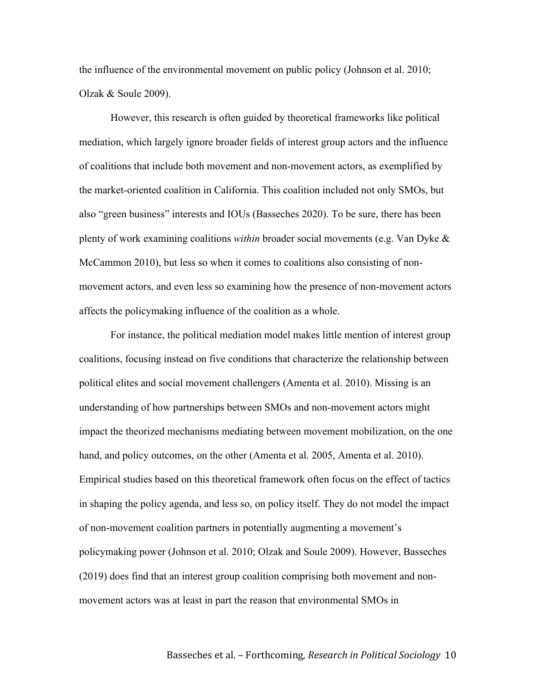the influence of the environmental movement on public policy (Johnson et al. 2010; Olzak & Soule 2009).

However, this research is often guided by theoretical frameworks like political mediation, which largely ignore broader fields of interest group actors and the influence of coalitions that include both movement and non-movement actors, as exemplified by the market-oriented coalition in California. This coalition included not only SMOs, but also "green business" interests and IOUs (Basseches 2020). To be sure, there has been plenty of work examining coalitions *within* broader social movements (e.g. Van Dyke & McCammon 2010), but less so when it comes to coalitions also consisting of nonmovement actors, and even less so examining how the presence of non-movement actors affects the policymaking influence of the coalition as a whole.

For instance, the political mediation model makes little mention of interest group coalitions, focusing instead on five conditions that characterize the relationship between political elites and social movement challengers (Amenta et al. 2010). Missing is an understanding of how partnerships between SMOs and non-movement actors might impact the theorized mechanisms mediating between movement mobilization, on the one hand, and policy outcomes, on the other (Amenta et al. 2005, Amenta et al. 2010). Empirical studies based on this theoretical framework often focus on the effect of tactics in shaping the policy agenda, and less so, on policy itself. They do not model the impact of non-movement coalition partners in potentially augmenting a movement's policymaking power (Johnson et al. 2010; Olzak and Soule 2009). However, Basseches (2019) does find that an interest group coalition comprising both movement and nonmovement actors was at least in part the reason that environmental SMOs in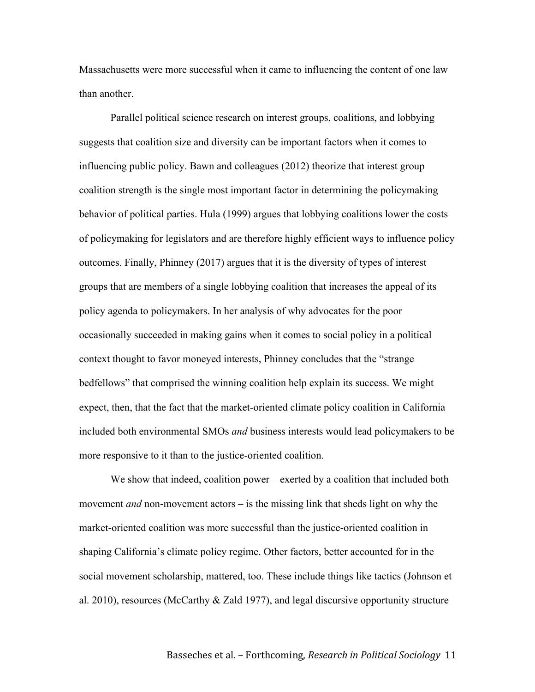Massachusetts were more successful when it came to influencing the content of one law than another.

Parallel political science research on interest groups, coalitions, and lobbying suggests that coalition size and diversity can be important factors when it comes to influencing public policy. Bawn and colleagues (2012) theorize that interest group coalition strength is the single most important factor in determining the policymaking behavior of political parties. Hula (1999) argues that lobbying coalitions lower the costs of policymaking for legislators and are therefore highly efficient ways to influence policy outcomes. Finally, Phinney (2017) argues that it is the diversity of types of interest groups that are members of a single lobbying coalition that increases the appeal of its policy agenda to policymakers. In her analysis of why advocates for the poor occasionally succeeded in making gains when it comes to social policy in a political context thought to favor moneyed interests, Phinney concludes that the "strange bedfellows" that comprised the winning coalition help explain its success. We might expect, then, that the fact that the market-oriented climate policy coalition in California included both environmental SMOs *and* business interests would lead policymakers to be more responsive to it than to the justice-oriented coalition.

We show that indeed, coalition power – exerted by a coalition that included both movement *and* non-movement actors – is the missing link that sheds light on why the market-oriented coalition was more successful than the justice-oriented coalition in shaping California's climate policy regime. Other factors, better accounted for in the social movement scholarship, mattered, too. These include things like tactics (Johnson et al. 2010), resources (McCarthy & Zald 1977), and legal discursive opportunity structure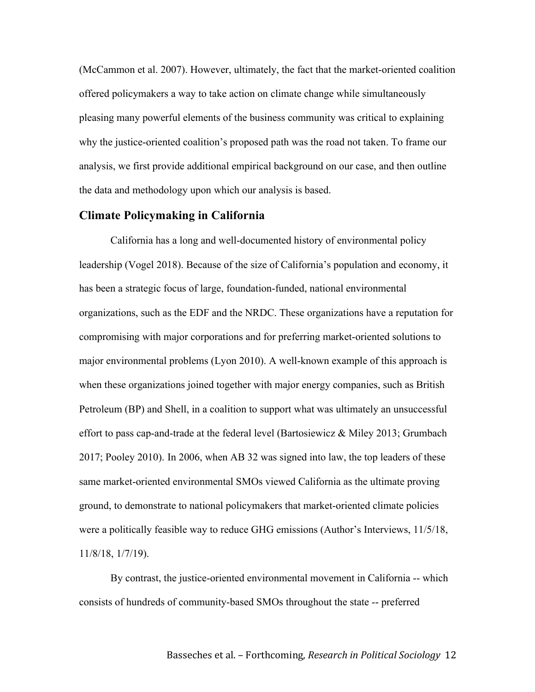(McCammon et al. 2007). However, ultimately, the fact that the market-oriented coalition offered policymakers a way to take action on climate change while simultaneously pleasing many powerful elements of the business community was critical to explaining why the justice-oriented coalition's proposed path was the road not taken. To frame our analysis, we first provide additional empirical background on our case, and then outline the data and methodology upon which our analysis is based.

## **Climate Policymaking in California**

California has a long and well-documented history of environmental policy leadership (Vogel 2018). Because of the size of California's population and economy, it has been a strategic focus of large, foundation-funded, national environmental organizations, such as the EDF and the NRDC. These organizations have a reputation for compromising with major corporations and for preferring market-oriented solutions to major environmental problems (Lyon 2010). A well-known example of this approach is when these organizations joined together with major energy companies, such as British Petroleum (BP) and Shell, in a coalition to support what was ultimately an unsuccessful effort to pass cap-and-trade at the federal level (Bartosiewicz & Miley 2013; Grumbach 2017; Pooley 2010). In 2006, when AB 32 was signed into law, the top leaders of these same market-oriented environmental SMOs viewed California as the ultimate proving ground, to demonstrate to national policymakers that market-oriented climate policies were a politically feasible way to reduce GHG emissions (Author's Interviews, 11/5/18, 11/8/18, 1/7/19).

By contrast, the justice-oriented environmental movement in California -- which consists of hundreds of community-based SMOs throughout the state -- preferred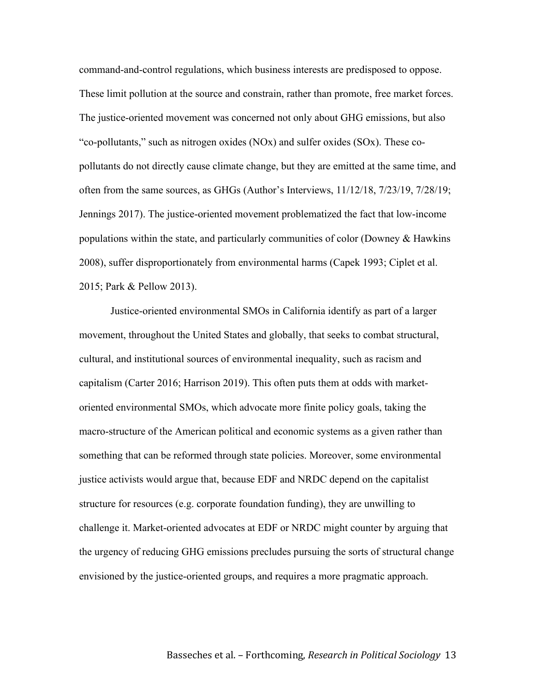command-and-control regulations, which business interests are predisposed to oppose. These limit pollution at the source and constrain, rather than promote, free market forces. The justice-oriented movement was concerned not only about GHG emissions, but also "co-pollutants," such as nitrogen oxides  $(NOx)$  and sulfer oxides  $(SOx)$ . These copollutants do not directly cause climate change, but they are emitted at the same time, and often from the same sources, as GHGs (Author's Interviews, 11/12/18, 7/23/19, 7/28/19; Jennings 2017). The justice-oriented movement problematized the fact that low-income populations within the state, and particularly communities of color (Downey  $\&$  Hawkins 2008), suffer disproportionately from environmental harms (Capek 1993; Ciplet et al. 2015; Park & Pellow 2013).

Justice-oriented environmental SMOs in California identify as part of a larger movement, throughout the United States and globally, that seeks to combat structural, cultural, and institutional sources of environmental inequality, such as racism and capitalism (Carter 2016; Harrison 2019). This often puts them at odds with marketoriented environmental SMOs, which advocate more finite policy goals, taking the macro-structure of the American political and economic systems as a given rather than something that can be reformed through state policies. Moreover, some environmental justice activists would argue that, because EDF and NRDC depend on the capitalist structure for resources (e.g. corporate foundation funding), they are unwilling to challenge it. Market-oriented advocates at EDF or NRDC might counter by arguing that the urgency of reducing GHG emissions precludes pursuing the sorts of structural change envisioned by the justice-oriented groups, and requires a more pragmatic approach.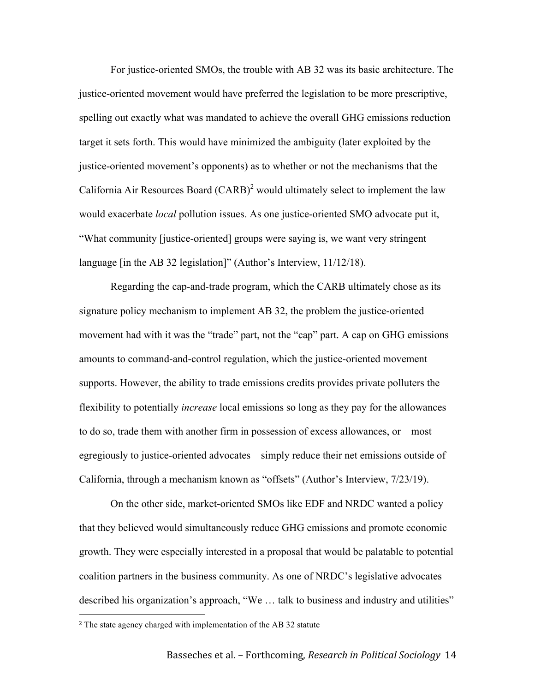For justice-oriented SMOs, the trouble with AB 32 was its basic architecture. The justice-oriented movement would have preferred the legislation to be more prescriptive, spelling out exactly what was mandated to achieve the overall GHG emissions reduction target it sets forth. This would have minimized the ambiguity (later exploited by the justice-oriented movement's opponents) as to whether or not the mechanisms that the California Air Resources Board  $(CARB)^2$  would ultimately select to implement the law would exacerbate *local* pollution issues. As one justice-oriented SMO advocate put it, "What community [justice-oriented] groups were saying is, we want very stringent language [in the AB 32 legislation]" (Author's Interview, 11/12/18).

Regarding the cap-and-trade program, which the CARB ultimately chose as its signature policy mechanism to implement AB 32, the problem the justice-oriented movement had with it was the "trade" part, not the "cap" part. A cap on GHG emissions amounts to command-and-control regulation, which the justice-oriented movement supports. However, the ability to trade emissions credits provides private polluters the flexibility to potentially *increase* local emissions so long as they pay for the allowances to do so, trade them with another firm in possession of excess allowances, or – most egregiously to justice-oriented advocates – simply reduce their net emissions outside of California, through a mechanism known as "offsets" (Author's Interview, 7/23/19).

On the other side, market-oriented SMOs like EDF and NRDC wanted a policy that they believed would simultaneously reduce GHG emissions and promote economic growth. They were especially interested in a proposal that would be palatable to potential coalition partners in the business community. As one of NRDC's legislative advocates described his organization's approach, "We … talk to business and industry and utilities"

 

<sup>2</sup> The state agency charged with implementation of the AB 32 statute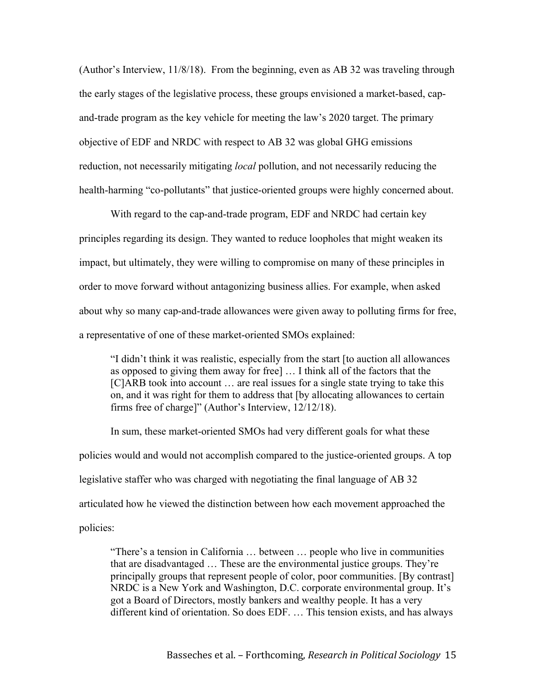(Author's Interview, 11/8/18). From the beginning, even as AB 32 was traveling through the early stages of the legislative process, these groups envisioned a market-based, capand-trade program as the key vehicle for meeting the law's 2020 target. The primary objective of EDF and NRDC with respect to AB 32 was global GHG emissions reduction, not necessarily mitigating *local* pollution, and not necessarily reducing the health-harming "co-pollutants" that justice-oriented groups were highly concerned about.

With regard to the cap-and-trade program, EDF and NRDC had certain key principles regarding its design. They wanted to reduce loopholes that might weaken its impact, but ultimately, they were willing to compromise on many of these principles in order to move forward without antagonizing business allies. For example, when asked about why so many cap-and-trade allowances were given away to polluting firms for free, a representative of one of these market-oriented SMOs explained:

"I didn't think it was realistic, especially from the start [to auction all allowances as opposed to giving them away for free] … I think all of the factors that the [C]ARB took into account … are real issues for a single state trying to take this on, and it was right for them to address that [by allocating allowances to certain firms free of charge]" (Author's Interview, 12/12/18).

In sum, these market-oriented SMOs had very different goals for what these policies would and would not accomplish compared to the justice-oriented groups. A top legislative staffer who was charged with negotiating the final language of AB 32 articulated how he viewed the distinction between how each movement approached the policies:

"There's a tension in California … between … people who live in communities that are disadvantaged … These are the environmental justice groups. They're principally groups that represent people of color, poor communities. [By contrast] NRDC is a New York and Washington, D.C. corporate environmental group. It's got a Board of Directors, mostly bankers and wealthy people. It has a very different kind of orientation. So does EDF. … This tension exists, and has always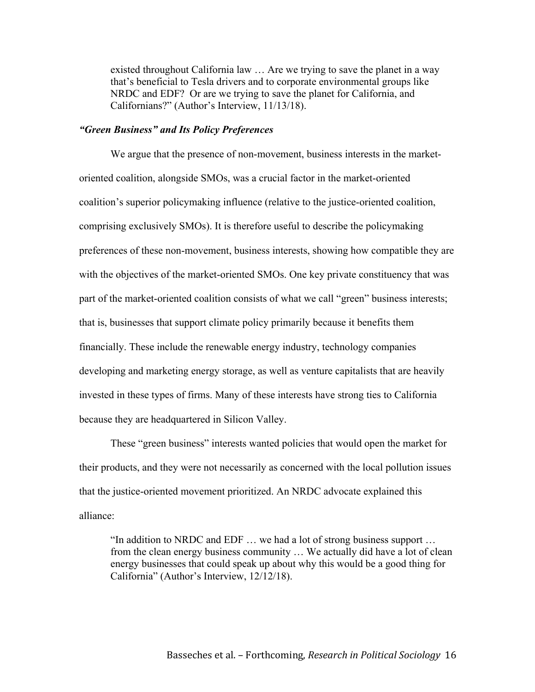existed throughout California law … Are we trying to save the planet in a way that's beneficial to Tesla drivers and to corporate environmental groups like NRDC and EDF? Or are we trying to save the planet for California, and Californians?" (Author's Interview, 11/13/18).

## *"Green Business" and Its Policy Preferences*

We argue that the presence of non-movement, business interests in the marketoriented coalition, alongside SMOs, was a crucial factor in the market-oriented coalition's superior policymaking influence (relative to the justice-oriented coalition, comprising exclusively SMOs). It is therefore useful to describe the policymaking preferences of these non-movement, business interests, showing how compatible they are with the objectives of the market-oriented SMOs. One key private constituency that was part of the market-oriented coalition consists of what we call "green" business interests; that is, businesses that support climate policy primarily because it benefits them financially. These include the renewable energy industry, technology companies developing and marketing energy storage, as well as venture capitalists that are heavily invested in these types of firms. Many of these interests have strong ties to California because they are headquartered in Silicon Valley.

These "green business" interests wanted policies that would open the market for their products, and they were not necessarily as concerned with the local pollution issues that the justice-oriented movement prioritized. An NRDC advocate explained this alliance:

"In addition to NRDC and EDF … we had a lot of strong business support … from the clean energy business community … We actually did have a lot of clean energy businesses that could speak up about why this would be a good thing for California" (Author's Interview, 12/12/18).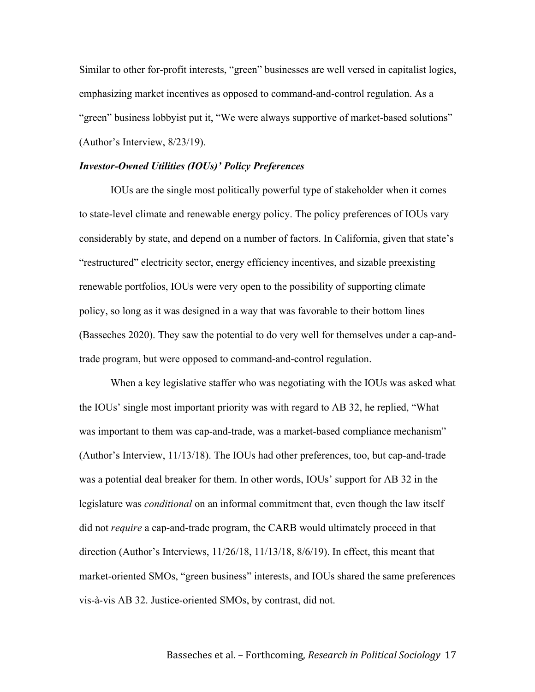Similar to other for-profit interests, "green" businesses are well versed in capitalist logics, emphasizing market incentives as opposed to command-and-control regulation. As a "green" business lobbyist put it, "We were always supportive of market-based solutions" (Author's Interview, 8/23/19).

#### *Investor-Owned Utilities (IOUs)' Policy Preferences*

IOUs are the single most politically powerful type of stakeholder when it comes to state-level climate and renewable energy policy. The policy preferences of IOUs vary considerably by state, and depend on a number of factors. In California, given that state's "restructured" electricity sector, energy efficiency incentives, and sizable preexisting renewable portfolios, IOUs were very open to the possibility of supporting climate policy, so long as it was designed in a way that was favorable to their bottom lines (Basseches 2020). They saw the potential to do very well for themselves under a cap-andtrade program, but were opposed to command-and-control regulation.

When a key legislative staffer who was negotiating with the IOUs was asked what the IOUs' single most important priority was with regard to AB 32, he replied, "What was important to them was cap-and-trade, was a market-based compliance mechanism" (Author's Interview, 11/13/18). The IOUs had other preferences, too, but cap-and-trade was a potential deal breaker for them. In other words, IOUs' support for AB 32 in the legislature was *conditional* on an informal commitment that, even though the law itself did not *require* a cap-and-trade program, the CARB would ultimately proceed in that direction (Author's Interviews, 11/26/18, 11/13/18, 8/6/19). In effect, this meant that market-oriented SMOs, "green business" interests, and IOUs shared the same preferences vis-à-vis AB 32. Justice-oriented SMOs, by contrast, did not.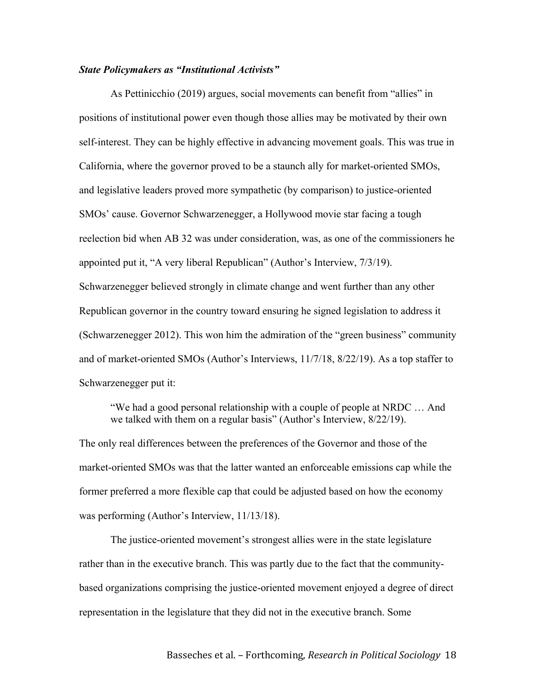#### *State Policymakers as "Institutional Activists"*

As Pettinicchio (2019) argues, social movements can benefit from "allies" in positions of institutional power even though those allies may be motivated by their own self-interest. They can be highly effective in advancing movement goals. This was true in California, where the governor proved to be a staunch ally for market-oriented SMOs, and legislative leaders proved more sympathetic (by comparison) to justice-oriented SMOs' cause. Governor Schwarzenegger, a Hollywood movie star facing a tough reelection bid when AB 32 was under consideration, was, as one of the commissioners he appointed put it, "A very liberal Republican" (Author's Interview, 7/3/19). Schwarzenegger believed strongly in climate change and went further than any other Republican governor in the country toward ensuring he signed legislation to address it (Schwarzenegger 2012). This won him the admiration of the "green business" community and of market-oriented SMOs (Author's Interviews, 11/7/18, 8/22/19). As a top staffer to Schwarzenegger put it:

"We had a good personal relationship with a couple of people at NRDC … And we talked with them on a regular basis" (Author's Interview, 8/22/19).

The only real differences between the preferences of the Governor and those of the market-oriented SMOs was that the latter wanted an enforceable emissions cap while the former preferred a more flexible cap that could be adjusted based on how the economy was performing (Author's Interview, 11/13/18).

The justice-oriented movement's strongest allies were in the state legislature rather than in the executive branch. This was partly due to the fact that the communitybased organizations comprising the justice-oriented movement enjoyed a degree of direct representation in the legislature that they did not in the executive branch. Some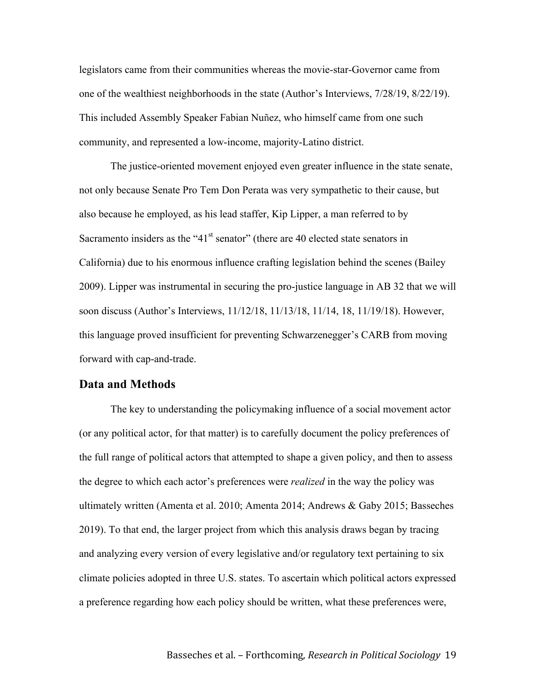legislators came from their communities whereas the movie-star-Governor came from one of the wealthiest neighborhoods in the state (Author's Interviews, 7/28/19, 8/22/19). This included Assembly Speaker Fabian Nuñez, who himself came from one such community, and represented a low-income, majority-Latino district.

The justice-oriented movement enjoyed even greater influence in the state senate, not only because Senate Pro Tem Don Perata was very sympathetic to their cause, but also because he employed, as his lead staffer, Kip Lipper, a man referred to by Sacramento insiders as the " $41<sup>st</sup>$  senator" (there are 40 elected state senators in California) due to his enormous influence crafting legislation behind the scenes (Bailey 2009). Lipper was instrumental in securing the pro-justice language in AB 32 that we will soon discuss (Author's Interviews, 11/12/18, 11/13/18, 11/14, 18, 11/19/18). However, this language proved insufficient for preventing Schwarzenegger's CARB from moving forward with cap-and-trade.

## **Data and Methods**

The key to understanding the policymaking influence of a social movement actor (or any political actor, for that matter) is to carefully document the policy preferences of the full range of political actors that attempted to shape a given policy, and then to assess the degree to which each actor's preferences were *realized* in the way the policy was ultimately written (Amenta et al. 2010; Amenta 2014; Andrews & Gaby 2015; Basseches 2019). To that end, the larger project from which this analysis draws began by tracing and analyzing every version of every legislative and/or regulatory text pertaining to six climate policies adopted in three U.S. states. To ascertain which political actors expressed a preference regarding how each policy should be written, what these preferences were,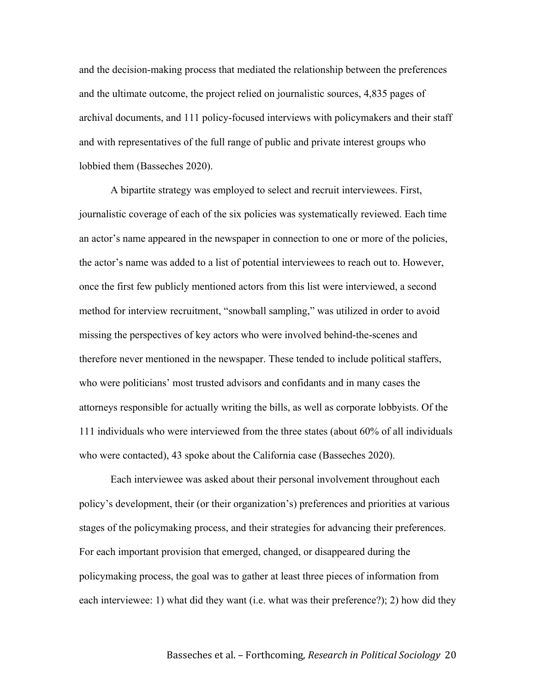and the decision-making process that mediated the relationship between the preferences and the ultimate outcome, the project relied on journalistic sources, 4,835 pages of archival documents, and 111 policy-focused interviews with policymakers and their staff and with representatives of the full range of public and private interest groups who lobbied them (Basseches 2020).

A bipartite strategy was employed to select and recruit interviewees. First, journalistic coverage of each of the six policies was systematically reviewed. Each time an actor's name appeared in the newspaper in connection to one or more of the policies, the actor's name was added to a list of potential interviewees to reach out to. However, once the first few publicly mentioned actors from this list were interviewed, a second method for interview recruitment, "snowball sampling," was utilized in order to avoid missing the perspectives of key actors who were involved behind-the-scenes and therefore never mentioned in the newspaper. These tended to include political staffers, who were politicians' most trusted advisors and confidants and in many cases the attorneys responsible for actually writing the bills, as well as corporate lobbyists. Of the 111 individuals who were interviewed from the three states (about 60% of all individuals who were contacted), 43 spoke about the California case (Basseches 2020).

Each interviewee was asked about their personal involvement throughout each policy's development, their (or their organization's) preferences and priorities at various stages of the policymaking process, and their strategies for advancing their preferences. For each important provision that emerged, changed, or disappeared during the policymaking process, the goal was to gather at least three pieces of information from each interviewee: 1) what did they want (i.e. what was their preference?); 2) how did they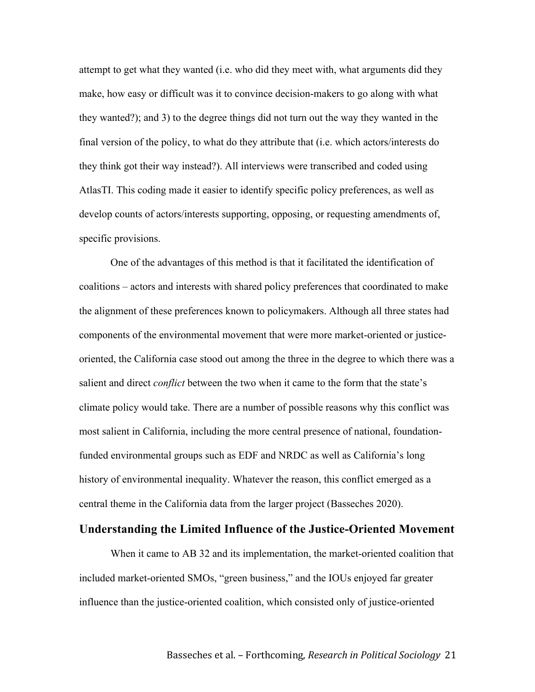attempt to get what they wanted (i.e. who did they meet with, what arguments did they make, how easy or difficult was it to convince decision-makers to go along with what they wanted?); and 3) to the degree things did not turn out the way they wanted in the final version of the policy, to what do they attribute that (i.e. which actors/interests do they think got their way instead?). All interviews were transcribed and coded using AtlasTI. This coding made it easier to identify specific policy preferences, as well as develop counts of actors/interests supporting, opposing, or requesting amendments of, specific provisions.

One of the advantages of this method is that it facilitated the identification of coalitions – actors and interests with shared policy preferences that coordinated to make the alignment of these preferences known to policymakers. Although all three states had components of the environmental movement that were more market-oriented or justiceoriented, the California case stood out among the three in the degree to which there was a salient and direct *conflict* between the two when it came to the form that the state's climate policy would take. There are a number of possible reasons why this conflict was most salient in California, including the more central presence of national, foundationfunded environmental groups such as EDF and NRDC as well as California's long history of environmental inequality. Whatever the reason, this conflict emerged as a central theme in the California data from the larger project (Basseches 2020).

## **Understanding the Limited Influence of the Justice-Oriented Movement**

When it came to AB 32 and its implementation, the market-oriented coalition that included market-oriented SMOs, "green business," and the IOUs enjoyed far greater influence than the justice-oriented coalition, which consisted only of justice-oriented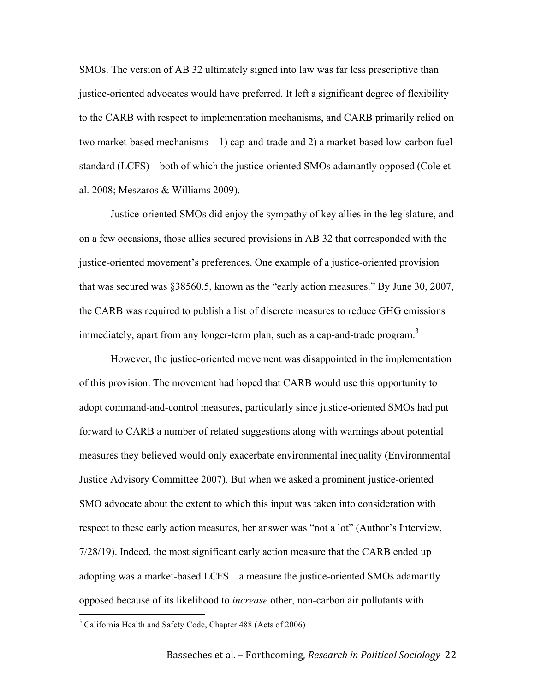SMOs. The version of AB 32 ultimately signed into law was far less prescriptive than justice-oriented advocates would have preferred. It left a significant degree of flexibility to the CARB with respect to implementation mechanisms, and CARB primarily relied on two market-based mechanisms – 1) cap-and-trade and 2) a market-based low-carbon fuel standard (LCFS) – both of which the justice-oriented SMOs adamantly opposed (Cole et al. 2008; Meszaros & Williams 2009).

Justice-oriented SMOs did enjoy the sympathy of key allies in the legislature, and on a few occasions, those allies secured provisions in AB 32 that corresponded with the justice-oriented movement's preferences. One example of a justice-oriented provision that was secured was §38560.5, known as the "early action measures." By June 30, 2007, the CARB was required to publish a list of discrete measures to reduce GHG emissions immediately, apart from any longer-term plan, such as a cap-and-trade program.<sup>3</sup>

However, the justice-oriented movement was disappointed in the implementation of this provision. The movement had hoped that CARB would use this opportunity to adopt command-and-control measures, particularly since justice-oriented SMOs had put forward to CARB a number of related suggestions along with warnings about potential measures they believed would only exacerbate environmental inequality (Environmental Justice Advisory Committee 2007). But when we asked a prominent justice-oriented SMO advocate about the extent to which this input was taken into consideration with respect to these early action measures, her answer was "not a lot" (Author's Interview, 7/28/19). Indeed, the most significant early action measure that the CARB ended up adopting was a market-based LCFS – a measure the justice-oriented SMOs adamantly opposed because of its likelihood to *increase* other, non-carbon air pollutants with

<sup>&</sup>lt;sup>3</sup> California Health and Safety Code, Chapter 488 (Acts of 2006)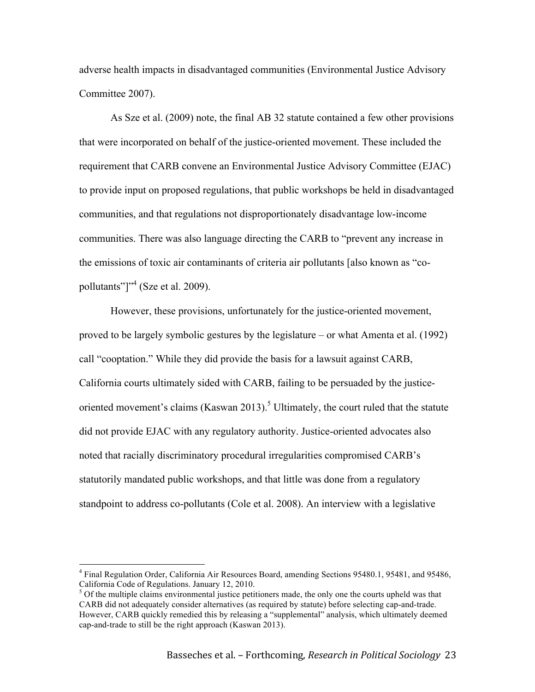adverse health impacts in disadvantaged communities (Environmental Justice Advisory Committee 2007).

As Sze et al. (2009) note, the final AB 32 statute contained a few other provisions that were incorporated on behalf of the justice-oriented movement. These included the requirement that CARB convene an Environmental Justice Advisory Committee (EJAC) to provide input on proposed regulations, that public workshops be held in disadvantaged communities, and that regulations not disproportionately disadvantage low-income communities. There was also language directing the CARB to "prevent any increase in the emissions of toxic air contaminants of criteria air pollutants [also known as "copollutants"]"<sup>4</sup> (Sze et al. 2009).

However, these provisions, unfortunately for the justice-oriented movement, proved to be largely symbolic gestures by the legislature – or what Amenta et al. (1992) call "cooptation." While they did provide the basis for a lawsuit against CARB, California courts ultimately sided with CARB, failing to be persuaded by the justiceoriented movement's claims (Kaswan 2013).<sup>5</sup> Ultimately, the court ruled that the statute did not provide EJAC with any regulatory authority. Justice-oriented advocates also noted that racially discriminatory procedural irregularities compromised CARB's statutorily mandated public workshops, and that little was done from a regulatory standpoint to address co-pollutants (Cole et al. 2008). An interview with a legislative

 <sup>4</sup> Final Regulation Order, California Air Resources Board, amending Sections 95480.1, 95481, and 95486, California Code of Regulations. January 12, 2010.

 $5$  Of the multiple claims environmental justice petitioners made, the only one the courts upheld was that CARB did not adequately consider alternatives (as required by statute) before selecting cap-and-trade. However, CARB quickly remedied this by releasing a "supplemental" analysis, which ultimately deemed cap-and-trade to still be the right approach (Kaswan 2013).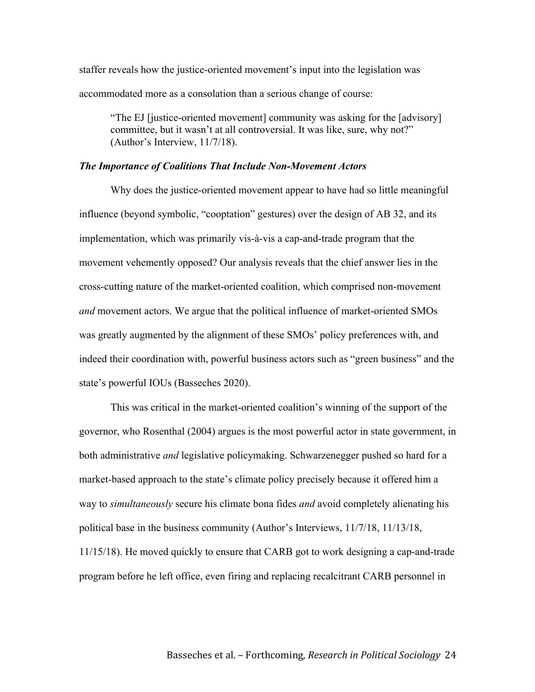staffer reveals how the justice-oriented movement's input into the legislation was accommodated more as a consolation than a serious change of course:

"The EJ [justice-oriented movement] community was asking for the [advisory] committee, but it wasn't at all controversial. It was like, sure, why not?" (Author's Interview, 11/7/18).

#### *The Importance of Coalitions That Include Non-Movement Actors*

Why does the justice-oriented movement appear to have had so little meaningful influence (beyond symbolic, "cooptation" gestures) over the design of AB 32, and its implementation, which was primarily vis-à-vis a cap-and-trade program that the movement vehemently opposed? Our analysis reveals that the chief answer lies in the cross-cutting nature of the market-oriented coalition, which comprised non-movement *and* movement actors. We argue that the political influence of market-oriented SMOs was greatly augmented by the alignment of these SMOs' policy preferences with, and indeed their coordination with, powerful business actors such as "green business" and the state's powerful IOUs (Basseches 2020).

This was critical in the market-oriented coalition's winning of the support of the governor, who Rosenthal (2004) argues is the most powerful actor in state government, in both administrative *and* legislative policymaking. Schwarzenegger pushed so hard for a market-based approach to the state's climate policy precisely because it offered him a way to *simultaneously* secure his climate bona fides *and* avoid completely alienating his political base in the business community (Author's Interviews, 11/7/18, 11/13/18, 11/15/18). He moved quickly to ensure that CARB got to work designing a cap-and-trade program before he left office, even firing and replacing recalcitrant CARB personnel in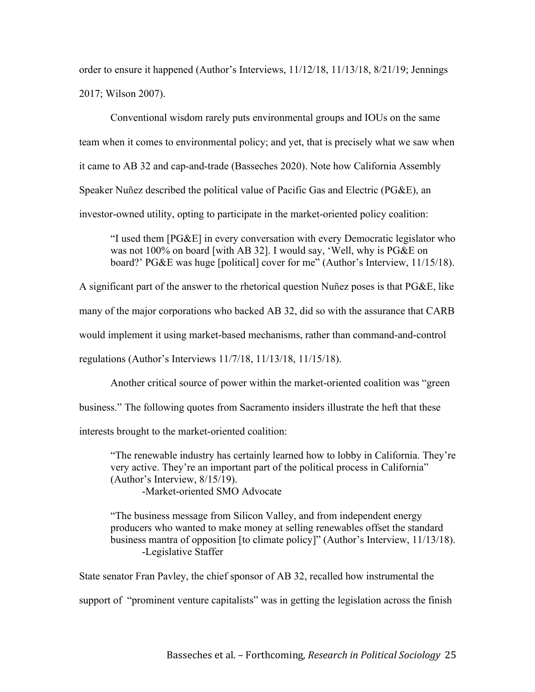order to ensure it happened (Author's Interviews, 11/12/18, 11/13/18, 8/21/19; Jennings 2017; Wilson 2007).

Conventional wisdom rarely puts environmental groups and IOUs on the same team when it comes to environmental policy; and yet, that is precisely what we saw when it came to AB 32 and cap-and-trade (Basseches 2020). Note how California Assembly Speaker Nuñez described the political value of Pacific Gas and Electric (PG&E), an investor-owned utility, opting to participate in the market-oriented policy coalition:

"I used them [PG&E] in every conversation with every Democratic legislator who was not 100% on board [with AB 32]. I would say, 'Well, why is PG&E on board?' PG&E was huge [political] cover for me" (Author's Interview, 11/15/18).

A significant part of the answer to the rhetorical question Nuñez poses is that PG&E, like many of the major corporations who backed AB 32, did so with the assurance that CARB would implement it using market-based mechanisms, rather than command-and-control regulations (Author's Interviews 11/7/18, 11/13/18, 11/15/18).

Another critical source of power within the market-oriented coalition was "green business." The following quotes from Sacramento insiders illustrate the heft that these interests brought to the market-oriented coalition:

"The renewable industry has certainly learned how to lobby in California. They're very active. They're an important part of the political process in California" (Author's Interview, 8/15/19). -Market-oriented SMO Advocate

"The business message from Silicon Valley, and from independent energy producers who wanted to make money at selling renewables offset the standard business mantra of opposition [to climate policy]" (Author's Interview, 11/13/18). -Legislative Staffer

State senator Fran Pavley, the chief sponsor of AB 32, recalled how instrumental the

support of "prominent venture capitalists" was in getting the legislation across the finish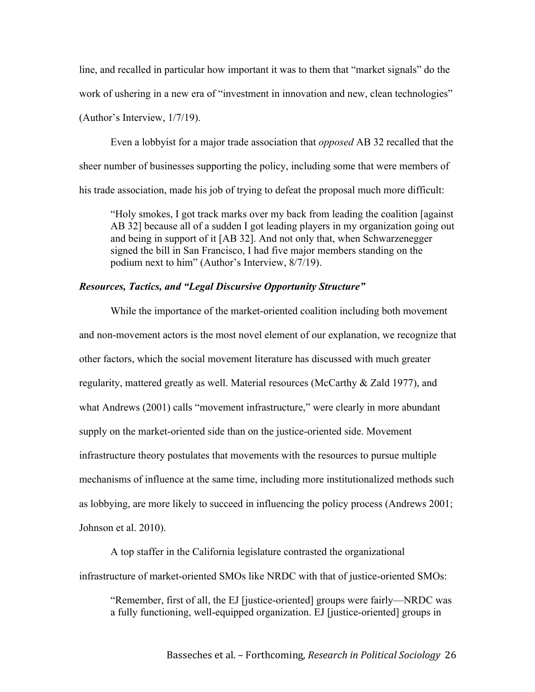line, and recalled in particular how important it was to them that "market signals" do the work of ushering in a new era of "investment in innovation and new, clean technologies"

(Author's Interview, 1/7/19).

Even a lobbyist for a major trade association that *opposed* AB 32 recalled that the sheer number of businesses supporting the policy, including some that were members of his trade association, made his job of trying to defeat the proposal much more difficult:

"Holy smokes, I got track marks over my back from leading the coalition [against AB 32] because all of a sudden I got leading players in my organization going out and being in support of it [AB 32]. And not only that, when Schwarzenegger signed the bill in San Francisco, I had five major members standing on the podium next to him" (Author's Interview, 8/7/19).

## *Resources, Tactics, and "Legal Discursive Opportunity Structure"*

While the importance of the market-oriented coalition including both movement and non-movement actors is the most novel element of our explanation, we recognize that other factors, which the social movement literature has discussed with much greater regularity, mattered greatly as well. Material resources (McCarthy & Zald 1977), and what Andrews (2001) calls "movement infrastructure," were clearly in more abundant supply on the market-oriented side than on the justice-oriented side. Movement infrastructure theory postulates that movements with the resources to pursue multiple mechanisms of influence at the same time, including more institutionalized methods such as lobbying, are more likely to succeed in influencing the policy process (Andrews 2001; Johnson et al. 2010).

A top staffer in the California legislature contrasted the organizational infrastructure of market-oriented SMOs like NRDC with that of justice-oriented SMOs:

"Remember, first of all, the EJ [justice-oriented] groups were fairly—NRDC was a fully functioning, well-equipped organization. EJ [justice-oriented] groups in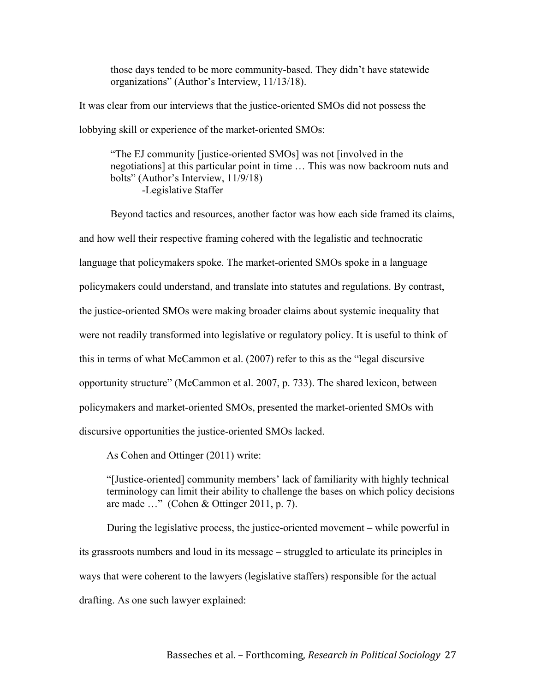those days tended to be more community-based. They didn't have statewide organizations" (Author's Interview, 11/13/18).

It was clear from our interviews that the justice-oriented SMOs did not possess the lobbying skill or experience of the market-oriented SMOs:

"The EJ community [justice-oriented SMOs] was not [involved in the negotiations] at this particular point in time … This was now backroom nuts and bolts" (Author's Interview, 11/9/18) -Legislative Staffer

Beyond tactics and resources, another factor was how each side framed its claims, and how well their respective framing cohered with the legalistic and technocratic language that policymakers spoke. The market-oriented SMOs spoke in a language policymakers could understand, and translate into statutes and regulations. By contrast, the justice-oriented SMOs were making broader claims about systemic inequality that were not readily transformed into legislative or regulatory policy. It is useful to think of this in terms of what McCammon et al. (2007) refer to this as the "legal discursive opportunity structure" (McCammon et al. 2007, p. 733). The shared lexicon, between policymakers and market-oriented SMOs, presented the market-oriented SMOs with discursive opportunities the justice-oriented SMOs lacked.

As Cohen and Ottinger (2011) write:

"[Justice-oriented] community members' lack of familiarity with highly technical terminology can limit their ability to challenge the bases on which policy decisions are made …" (Cohen & Ottinger 2011, p. 7).

During the legislative process, the justice-oriented movement – while powerful in its grassroots numbers and loud in its message – struggled to articulate its principles in ways that were coherent to the lawyers (legislative staffers) responsible for the actual drafting. As one such lawyer explained: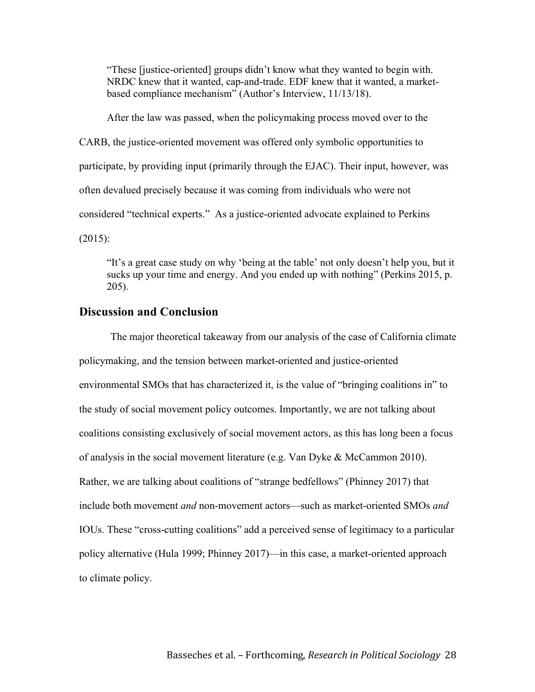"These [justice-oriented] groups didn't know what they wanted to begin with. NRDC knew that it wanted, cap-and-trade. EDF knew that it wanted, a marketbased compliance mechanism" (Author's Interview, 11/13/18).

After the law was passed, when the policymaking process moved over to the CARB, the justice-oriented movement was offered only symbolic opportunities to participate, by providing input (primarily through the EJAC). Their input, however, was often devalued precisely because it was coming from individuals who were not considered "technical experts." As a justice-oriented advocate explained to Perkins (2015):

"It's a great case study on why 'being at the table' not only doesn't help you, but it sucks up your time and energy. And you ended up with nothing" (Perkins 2015, p. 205).

## **Discussion and Conclusion**

The major theoretical takeaway from our analysis of the case of California climate policymaking, and the tension between market-oriented and justice-oriented environmental SMOs that has characterized it, is the value of "bringing coalitions in" to the study of social movement policy outcomes. Importantly, we are not talking about coalitions consisting exclusively of social movement actors, as this has long been a focus of analysis in the social movement literature (e.g. Van Dyke & McCammon 2010). Rather, we are talking about coalitions of "strange bedfellows" (Phinney 2017) that include both movement *and* non-movement actors—such as market-oriented SMOs *and*  IOUs. These "cross-cutting coalitions" add a perceived sense of legitimacy to a particular policy alternative (Hula 1999; Phinney 2017)—in this case, a market-oriented approach to climate policy.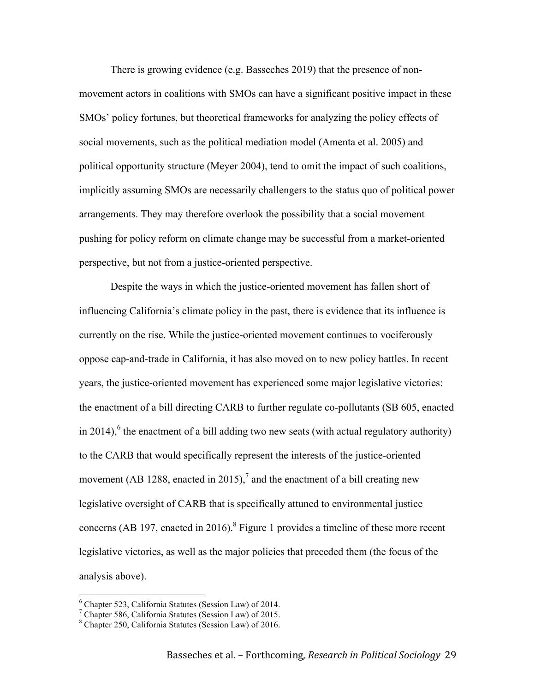There is growing evidence (e.g. Basseches 2019) that the presence of nonmovement actors in coalitions with SMOs can have a significant positive impact in these SMOs' policy fortunes, but theoretical frameworks for analyzing the policy effects of social movements, such as the political mediation model (Amenta et al. 2005) and political opportunity structure (Meyer 2004), tend to omit the impact of such coalitions, implicitly assuming SMOs are necessarily challengers to the status quo of political power arrangements. They may therefore overlook the possibility that a social movement pushing for policy reform on climate change may be successful from a market-oriented perspective, but not from a justice-oriented perspective.

Despite the ways in which the justice-oriented movement has fallen short of influencing California's climate policy in the past, there is evidence that its influence is currently on the rise. While the justice-oriented movement continues to vociferously oppose cap-and-trade in California, it has also moved on to new policy battles. In recent years, the justice-oriented movement has experienced some major legislative victories: the enactment of a bill directing CARB to further regulate co-pollutants (SB 605, enacted in 2014),<sup>6</sup> the enactment of a bill adding two new seats (with actual regulatory authority) to the CARB that would specifically represent the interests of the justice-oriented movement (AB 1288, enacted in 2015),<sup>7</sup> and the enactment of a bill creating new legislative oversight of CARB that is specifically attuned to environmental justice concerns (AB 197, enacted in 2016).<sup>8</sup> Figure 1 provides a timeline of these more recent legislative victories, as well as the major policies that preceded them (the focus of the analysis above).

 <sup>6</sup> Chapter 523, California Statutes (Session Law) of 2014.

<sup>7</sup> Chapter 586, California Statutes (Session Law) of 2015.

<sup>8</sup> Chapter 250, California Statutes (Session Law) of 2016.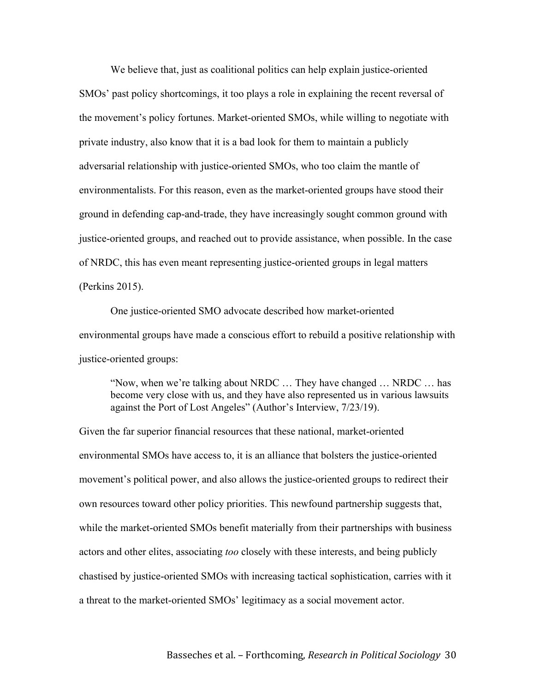We believe that, just as coalitional politics can help explain justice-oriented SMOs' past policy shortcomings, it too plays a role in explaining the recent reversal of the movement's policy fortunes. Market-oriented SMOs, while willing to negotiate with private industry, also know that it is a bad look for them to maintain a publicly adversarial relationship with justice-oriented SMOs, who too claim the mantle of environmentalists. For this reason, even as the market-oriented groups have stood their ground in defending cap-and-trade, they have increasingly sought common ground with justice-oriented groups, and reached out to provide assistance, when possible. In the case of NRDC, this has even meant representing justice-oriented groups in legal matters (Perkins 2015).

One justice-oriented SMO advocate described how market-oriented environmental groups have made a conscious effort to rebuild a positive relationship with justice-oriented groups:

"Now, when we're talking about NRDC … They have changed … NRDC … has become very close with us, and they have also represented us in various lawsuits against the Port of Lost Angeles" (Author's Interview, 7/23/19).

Given the far superior financial resources that these national, market-oriented environmental SMOs have access to, it is an alliance that bolsters the justice-oriented movement's political power, and also allows the justice-oriented groups to redirect their own resources toward other policy priorities. This newfound partnership suggests that, while the market-oriented SMOs benefit materially from their partnerships with business actors and other elites, associating *too* closely with these interests, and being publicly chastised by justice-oriented SMOs with increasing tactical sophistication, carries with it a threat to the market-oriented SMOs' legitimacy as a social movement actor.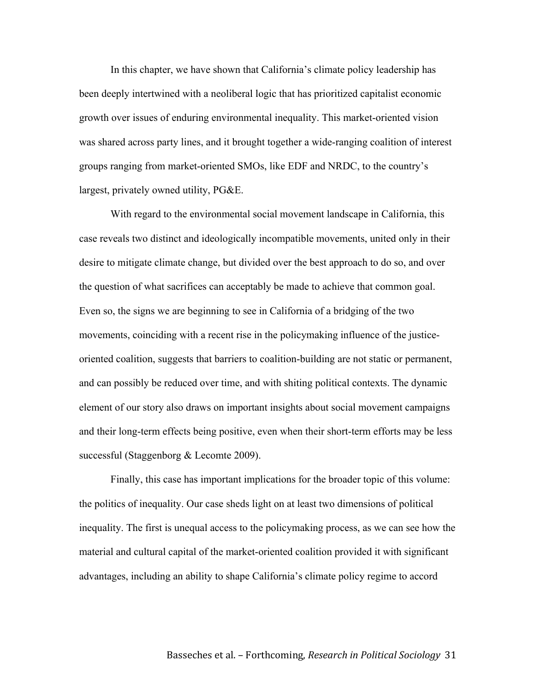In this chapter, we have shown that California's climate policy leadership has been deeply intertwined with a neoliberal logic that has prioritized capitalist economic growth over issues of enduring environmental inequality. This market-oriented vision was shared across party lines, and it brought together a wide-ranging coalition of interest groups ranging from market-oriented SMOs, like EDF and NRDC, to the country's largest, privately owned utility, PG&E.

With regard to the environmental social movement landscape in California, this case reveals two distinct and ideologically incompatible movements, united only in their desire to mitigate climate change, but divided over the best approach to do so, and over the question of what sacrifices can acceptably be made to achieve that common goal. Even so, the signs we are beginning to see in California of a bridging of the two movements, coinciding with a recent rise in the policymaking influence of the justiceoriented coalition, suggests that barriers to coalition-building are not static or permanent, and can possibly be reduced over time, and with shiting political contexts. The dynamic element of our story also draws on important insights about social movement campaigns and their long-term effects being positive, even when their short-term efforts may be less successful (Staggenborg & Lecomte 2009).

Finally, this case has important implications for the broader topic of this volume: the politics of inequality. Our case sheds light on at least two dimensions of political inequality. The first is unequal access to the policymaking process, as we can see how the material and cultural capital of the market-oriented coalition provided it with significant advantages, including an ability to shape California's climate policy regime to accord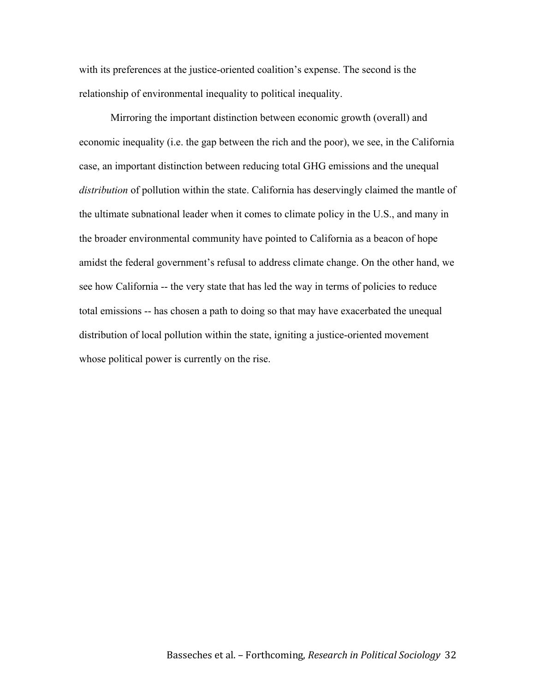with its preferences at the justice-oriented coalition's expense. The second is the relationship of environmental inequality to political inequality.

Mirroring the important distinction between economic growth (overall) and economic inequality (i.e. the gap between the rich and the poor), we see, in the California case, an important distinction between reducing total GHG emissions and the unequal *distribution* of pollution within the state. California has deservingly claimed the mantle of the ultimate subnational leader when it comes to climate policy in the U.S., and many in the broader environmental community have pointed to California as a beacon of hope amidst the federal government's refusal to address climate change. On the other hand, we see how California -- the very state that has led the way in terms of policies to reduce total emissions -- has chosen a path to doing so that may have exacerbated the unequal distribution of local pollution within the state, igniting a justice-oriented movement whose political power is currently on the rise.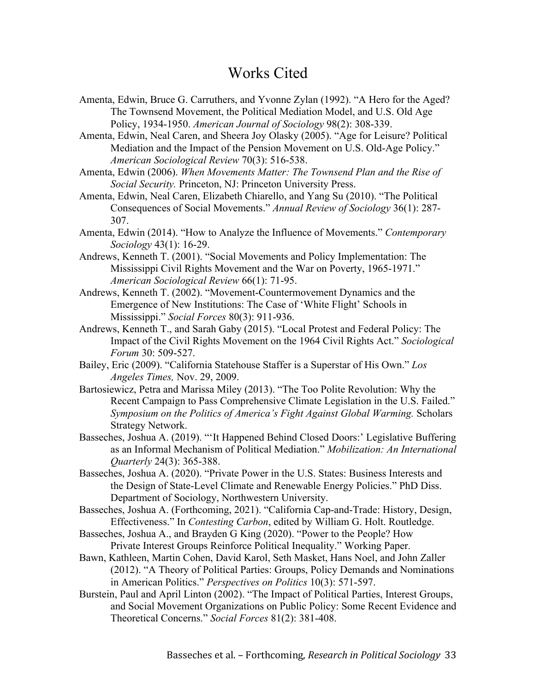## Works Cited

Amenta, Edwin, Bruce G. Carruthers, and Yvonne Zylan (1992). "A Hero for the Aged? The Townsend Movement, the Political Mediation Model, and U.S. Old Age Policy, 1934-1950. *American Journal of Sociology* 98(2): 308-339.

Amenta, Edwin, Neal Caren, and Sheera Joy Olasky (2005). "Age for Leisure? Political Mediation and the Impact of the Pension Movement on U.S. Old-Age Policy." *American Sociological Review* 70(3): 516-538.

Amenta, Edwin (2006). *When Movements Matter: The Townsend Plan and the Rise of Social Security.* Princeton, NJ: Princeton University Press.

Amenta, Edwin, Neal Caren, Elizabeth Chiarello, and Yang Su (2010). "The Political Consequences of Social Movements." *Annual Review of Sociology* 36(1): 287- 307.

- Amenta, Edwin (2014). "How to Analyze the Influence of Movements." *Contemporary Sociology* 43(1): 16-29.
- Andrews, Kenneth T. (2001). "Social Movements and Policy Implementation: The Mississippi Civil Rights Movement and the War on Poverty, 1965-1971." *American Sociological Review* 66(1): 71-95.
- Andrews, Kenneth T. (2002). "Movement-Countermovement Dynamics and the Emergence of New Institutions: The Case of 'White Flight' Schools in Mississippi." *Social Forces* 80(3): 911-936.
- Andrews, Kenneth T., and Sarah Gaby (2015). "Local Protest and Federal Policy: The Impact of the Civil Rights Movement on the 1964 Civil Rights Act." *Sociological Forum* 30: 509-527.
- Bailey, Eric (2009). "California Statehouse Staffer is a Superstar of His Own." *Los Angeles Times,* Nov. 29, 2009.
- Bartosiewicz, Petra and Marissa Miley (2013). "The Too Polite Revolution: Why the Recent Campaign to Pass Comprehensive Climate Legislation in the U.S. Failed." *Symposium on the Politics of America's Fight Against Global Warming.* Scholars Strategy Network.
- Basseches, Joshua A. (2019). "'It Happened Behind Closed Doors:' Legislative Buffering as an Informal Mechanism of Political Mediation." *Mobilization: An International Quarterly* 24(3): 365-388.
- Basseches, Joshua A. (2020). "Private Power in the U.S. States: Business Interests and the Design of State-Level Climate and Renewable Energy Policies." PhD Diss. Department of Sociology, Northwestern University.
- Basseches, Joshua A. (Forthcoming, 2021). "California Cap-and-Trade: History, Design, Effectiveness." In *Contesting Carbon*, edited by William G. Holt. Routledge.
- Basseches, Joshua A., and Brayden G King (2020). "Power to the People? How Private Interest Groups Reinforce Political Inequality." Working Paper.
- Bawn, Kathleen, Martin Cohen, David Karol, Seth Masket, Hans Noel, and John Zaller (2012). "A Theory of Political Parties: Groups, Policy Demands and Nominations in American Politics." *Perspectives on Politics* 10(3): 571-597.
- Burstein, Paul and April Linton (2002). "The Impact of Political Parties, Interest Groups, and Social Movement Organizations on Public Policy: Some Recent Evidence and Theoretical Concerns." *Social Forces* 81(2): 381-408.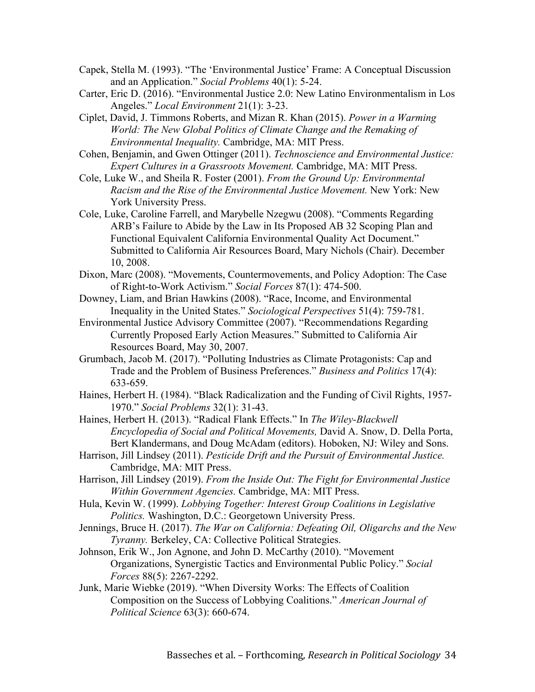- Capek, Stella M. (1993). "The 'Environmental Justice' Frame: A Conceptual Discussion and an Application." *Social Problems* 40(1): 5-24.
- Carter, Eric D. (2016). "Environmental Justice 2.0: New Latino Environmentalism in Los Angeles." *Local Environment* 21(1): 3-23.
- Ciplet, David, J. Timmons Roberts, and Mizan R. Khan (2015). *Power in a Warming World: The New Global Politics of Climate Change and the Remaking of Environmental Inequality.* Cambridge, MA: MIT Press.
- Cohen, Benjamin, and Gwen Ottinger (2011). *Technoscience and Environmental Justice: Expert Cultures in a Grassroots Movement.* Cambridge, MA: MIT Press.
- Cole, Luke W., and Sheila R. Foster (2001). *From the Ground Up: Environmental Racism and the Rise of the Environmental Justice Movement.* New York: New York University Press.
- Cole, Luke, Caroline Farrell, and Marybelle Nzegwu (2008). "Comments Regarding ARB's Failure to Abide by the Law in Its Proposed AB 32 Scoping Plan and Functional Equivalent California Environmental Quality Act Document." Submitted to California Air Resources Board, Mary Nichols (Chair). December 10, 2008.
- Dixon, Marc (2008). "Movements, Countermovements, and Policy Adoption: The Case of Right-to-Work Activism." *Social Forces* 87(1): 474-500.
- Downey, Liam, and Brian Hawkins (2008). "Race, Income, and Environmental Inequality in the United States." *Sociological Perspectives* 51(4): 759-781.
- Environmental Justice Advisory Committee (2007). "Recommendations Regarding Currently Proposed Early Action Measures." Submitted to California Air Resources Board, May 30, 2007.
- Grumbach, Jacob M. (2017). "Polluting Industries as Climate Protagonists: Cap and Trade and the Problem of Business Preferences." *Business and Politics* 17(4): 633-659.
- Haines, Herbert H. (1984). "Black Radicalization and the Funding of Civil Rights, 1957- 1970." *Social Problems* 32(1): 31-43.
- Haines, Herbert H. (2013). "Radical Flank Effects." In *The Wiley-Blackwell Encyclopedia of Social and Political Movements,* David A. Snow, D. Della Porta, Bert Klandermans, and Doug McAdam (editors). Hoboken, NJ: Wiley and Sons.
- Harrison, Jill Lindsey (2011). *Pesticide Drift and the Pursuit of Environmental Justice.*  Cambridge, MA: MIT Press.
- Harrison, Jill Lindsey (2019). *From the Inside Out: The Fight for Environmental Justice Within Government Agencies.* Cambridge, MA: MIT Press.
- Hula, Kevin W. (1999). *Lobbying Together: Interest Group Coalitions in Legislative Politics.* Washington, D.C.: Georgetown University Press.
- Jennings, Bruce H. (2017). *The War on California: Defeating Oil, Oligarchs and the New Tyranny.* Berkeley, CA: Collective Political Strategies.
- Johnson, Erik W., Jon Agnone, and John D. McCarthy (2010). "Movement Organizations, Synergistic Tactics and Environmental Public Policy." *Social Forces* 88(5): 2267-2292.
- Junk, Marie Wiebke (2019). "When Diversity Works: The Effects of Coalition Composition on the Success of Lobbying Coalitions." *American Journal of Political Science* 63(3): 660-674.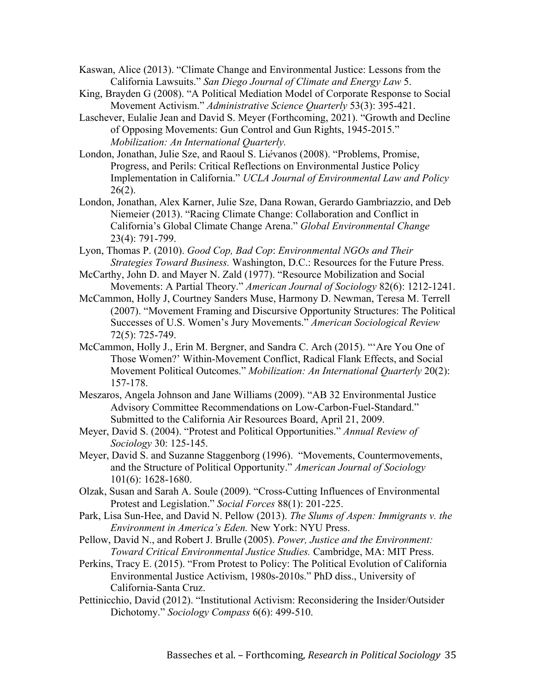Kaswan, Alice (2013). "Climate Change and Environmental Justice: Lessons from the California Lawsuits." *San Diego Journal of Climate and Energy Law* 5.

- King, Brayden G (2008). "A Political Mediation Model of Corporate Response to Social Movement Activism." *Administrative Science Quarterly* 53(3): 395-421.
- Laschever, Eulalie Jean and David S. Meyer (Forthcoming, 2021). "Growth and Decline of Opposing Movements: Gun Control and Gun Rights, 1945-2015." *Mobilization: An International Quarterly.*
- London, Jonathan, Julie Sze, and Raoul S. Li*é*vanos (2008). "Problems, Promise, Progress, and Perils: Critical Reflections on Environmental Justice Policy Implementation in California." *UCLA Journal of Environmental Law and Policy*   $26(2)$ .
- London, Jonathan, Alex Karner, Julie Sze, Dana Rowan, Gerardo Gambriazzio, and Deb Niemeier (2013). "Racing Climate Change: Collaboration and Conflict in California's Global Climate Change Arena." *Global Environmental Change* 23(4): 791-799.
- Lyon, Thomas P. (2010). *Good Cop, Bad Cop*: *Environmental NGOs and Their Strategies Toward Business.* Washington, D.C.: Resources for the Future Press.
- McCarthy, John D. and Mayer N. Zald (1977). "Resource Mobilization and Social Movements: A Partial Theory." *American Journal of Sociology* 82(6): 1212-1241.
- McCammon, Holly J, Courtney Sanders Muse, Harmony D. Newman, Teresa M. Terrell (2007). "Movement Framing and Discursive Opportunity Structures: The Political Successes of U.S. Women's Jury Movements." *American Sociological Review*  72(5): 725-749.
- McCammon, Holly J., Erin M. Bergner, and Sandra C. Arch (2015). "'Are You One of Those Women?' Within-Movement Conflict, Radical Flank Effects, and Social Movement Political Outcomes." *Mobilization: An International Quarterly* 20(2): 157-178.
- Meszaros, Angela Johnson and Jane Williams (2009). "AB 32 Environmental Justice Advisory Committee Recommendations on Low-Carbon-Fuel-Standard." Submitted to the California Air Resources Board, April 21, 2009.
- Meyer, David S. (2004). "Protest and Political Opportunities." *Annual Review of Sociology* 30: 125-145.
- Meyer, David S. and Suzanne Staggenborg (1996). "Movements, Countermovements, and the Structure of Political Opportunity." *American Journal of Sociology*  101(6): 1628-1680.
- Olzak, Susan and Sarah A. Soule (2009). "Cross-Cutting Influences of Environmental Protest and Legislation." *Social Forces* 88(1): 201-225.
- Park, Lisa Sun-Hee, and David N. Pellow (2013). *The Slums of Aspen: Immigrants v. the Environment in America's Eden.* New York: NYU Press.
- Pellow, David N., and Robert J. Brulle (2005). *Power, Justice and the Environment: Toward Critical Environmental Justice Studies.* Cambridge, MA: MIT Press.
- Perkins, Tracy E. (2015). "From Protest to Policy: The Political Evolution of California Environmental Justice Activism, 1980s-2010s." PhD diss., University of California-Santa Cruz.
- Pettinicchio, David (2012). "Institutional Activism: Reconsidering the Insider/Outsider Dichotomy." *Sociology Compass* 6(6): 499-510.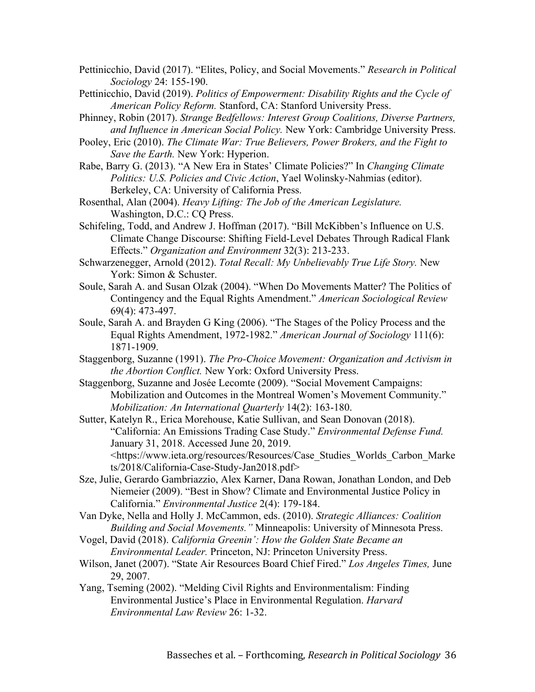Pettinicchio, David (2017). "Elites, Policy, and Social Movements." *Research in Political Sociology* 24: 155-190.

- Pettinicchio, David (2019). *Politics of Empowerment: Disability Rights and the Cycle of American Policy Reform.* Stanford, CA: Stanford University Press.
- Phinney, Robin (2017). *Strange Bedfellows: Interest Group Coalitions, Diverse Partners, and Influence in American Social Policy.* New York: Cambridge University Press.
- Pooley, Eric (2010). *The Climate War: True Believers, Power Brokers, and the Fight to Save the Earth.* New York: Hyperion.
- Rabe, Barry G. (2013). "A New Era in States' Climate Policies?" In *Changing Climate Politics: U.S. Policies and Civic Action*, Yael Wolinsky-Nahmias (editor). Berkeley, CA: University of California Press.
- Rosenthal, Alan (2004). *Heavy Lifting: The Job of the American Legislature.*  Washington, D.C.: CQ Press.
- Schifeling, Todd, and Andrew J. Hoffman (2017). "Bill McKibben's Influence on U.S. Climate Change Discourse: Shifting Field-Level Debates Through Radical Flank Effects." *Organization and Environment* 32(3): 213-233.
- Schwarzenegger, Arnold (2012). *Total Recall: My Unbelievably True Life Story.* New York: Simon & Schuster.
- Soule, Sarah A. and Susan Olzak (2004). "When Do Movements Matter? The Politics of Contingency and the Equal Rights Amendment." *American Sociological Review*  69(4): 473-497.
- Soule, Sarah A. and Brayden G King (2006). "The Stages of the Policy Process and the Equal Rights Amendment, 1972-1982." *American Journal of Sociology* 111(6): 1871-1909.
- Staggenborg, Suzanne (1991). *The Pro-Choice Movement: Organization and Activism in the Abortion Conflict.* New York: Oxford University Press.
- Staggenborg, Suzanne and Josée Lecomte (2009). "Social Movement Campaigns: Mobilization and Outcomes in the Montreal Women's Movement Community." *Mobilization: An International Quarterly* 14(2): 163-180.
- Sutter, Katelyn R., Erica Morehouse, Katie Sullivan, and Sean Donovan (2018). "California: An Emissions Trading Case Study." *Environmental Defense Fund.*  January 31, 2018. Accessed June 20, 2019. <https://www.ieta.org/resources/Resources/Case\_Studies\_Worlds\_Carbon\_Marke ts/2018/California-Case-Study-Jan2018.pdf>
- Sze, Julie, Gerardo Gambriazzio, Alex Karner, Dana Rowan, Jonathan London, and Deb Niemeier (2009). "Best in Show? Climate and Environmental Justice Policy in California." *Environmental Justice* 2(4): 179-184.
- Van Dyke, Nella and Holly J. McCammon, eds. (2010). *Strategic Alliances: Coalition Building and Social Movements."* Minneapolis: University of Minnesota Press.
- Vogel, David (2018). *California Greenin': How the Golden State Became an Environmental Leader.* Princeton, NJ: Princeton University Press.
- Wilson, Janet (2007). "State Air Resources Board Chief Fired." *Los Angeles Times,* June 29, 2007.
- Yang, Tseming (2002). "Melding Civil Rights and Environmentalism: Finding Environmental Justice's Place in Environmental Regulation. *Harvard Environmental Law Review* 26: 1-32.